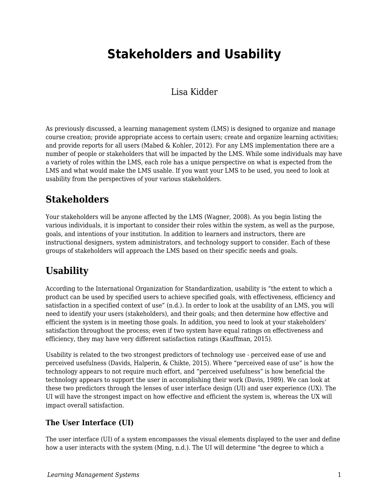# **Stakeholders and Usability**

### Lisa Kidder

As previously discussed, a learning management system (LMS) is designed to organize and manage course creation; provide appropriate access to certain users; create and organize learning activities; and provide reports for all users (Mabed & Kohler, 2012). For any LMS implementation there are a number of people or stakeholders that will be impacted by the LMS. While some individuals may have a variety of roles within the LMS, each role has a unique perspective on what is expected from the LMS and what would make the LMS usable. If you want your LMS to be used, you need to look at usability from the perspectives of your various stakeholders.

# **Stakeholders**

Your stakeholders will be anyone affected by the LMS (Wagner, 2008). As you begin listing the various individuals, it is important to consider their roles within the system, as well as the purpose, goals, and intentions of your institution. In addition to learners and instructors, there are instructional designers, system administrators, and technology support to consider. Each of these groups of stakeholders will approach the LMS based on their specific needs and goals.

# **Usability**

According to the International Organization for Standardization, usability is "the extent to which a product can be used by specified users to achieve specified goals, with effectiveness, efficiency and satisfaction in a specified context of use" (n.d.). In order to look at the usability of an LMS, you will need to identify your users (stakeholders), and their goals; and then determine how effective and efficient the system is in meeting those goals. In addition, you need to look at your stakeholders' satisfaction throughout the process; even if two system have equal ratings on effectiveness and efficiency, they may have very different satisfaction ratings (Kauffman, 2015).

Usability is related to the two strongest predictors of technology use - perceived ease of use and perceived usefulness (Davids, Halperin, & Chikte, 2015). Where "perceived ease of use" is how the technology appears to not require much effort, and "perceived usefulness" is how beneficial the technology appears to support the user in accomplishing their work (Davis, 1989). We can look at these two predictors through the lenses of user interface design (UI) and user experience (UX). The UI will have the strongest impact on how effective and efficient the system is, whereas the UX will impact overall satisfaction.

### **The User Interface (UI)**

The user interface (UI) of a system encompasses the visual elements displayed to the user and define how a user interacts with the system (Ming, n.d.). The UI will determine "the degree to which a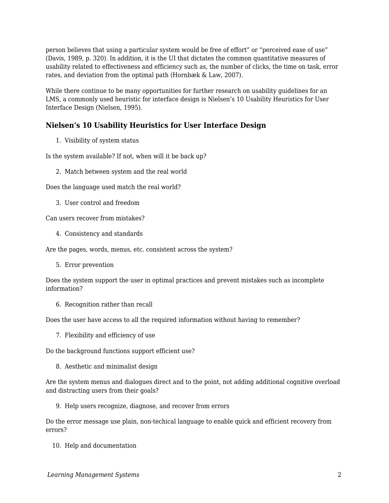person believes that using a particular system would be free of effort" or "perceived ease of use" (Davis, 1989, p. 320). In addition, it is the UI that dictates the common quantitative measures of usability related to effectiveness and efficiency such as, the number of clicks, the time on task, error rates, and deviation from the optimal path (Hornbæk & Law, 2007).

While there continue to be many opportunities for further research on usability guidelines for an LMS, a commonly used heuristic for interface design is Nielsen's 10 Usability Heuristics for User Interface Design (Nielsen, 1995).

#### **Nielsen's 10 Usability Heuristics for User Interface Design**

1. Visibility of system status

Is the system available? If not, when will it be back up?

2. Match between system and the real world

Does the language used match the real world?

3. User control and freedom

Can users recover from mistakes?

4. Consistency and standards

Are the pages, words, menus, etc. consistent across the system?

5. Error prevention

Does the system support the user in optimal practices and prevent mistakes such as incomplete information?

6. Recognition rather than recall

Does the user have access to all the required information without having to remember?

7. Flexibility and efficiency of use

Do the background functions support efficient use?

8. Aesthetic and minimalist design

Are the system menus and dialogues direct and to the point, not adding additional cognitive overload and distracting users from their goals?

9. Help users recognize, diagnose, and recover from errors

Do the error message use plain, non-techical language to enable quick and efficient recovery from errors?

10. Help and documentation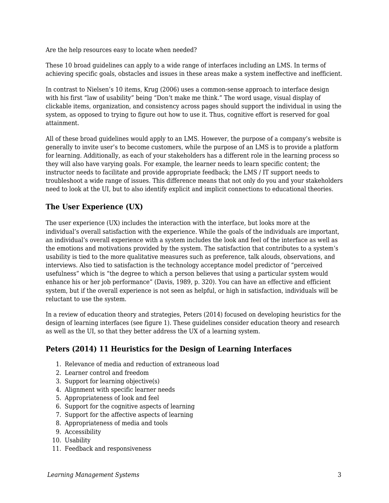Are the help resources easy to locate when needed?

These 10 broad guidelines can apply to a wide range of interfaces including an LMS. In terms of achieving specific goals, obstacles and issues in these areas make a system ineffective and inefficient.

In contrast to Nielsen's 10 items, Krug (2006) uses a common-sense approach to interface design with his first "law of usability" being "Don't make me think." The word usage, visual display of clickable items, organization, and consistency across pages should support the individual in using the system, as opposed to trying to figure out how to use it. Thus, cognitive effort is reserved for goal attainment.

All of these broad guidelines would apply to an LMS. However, the purpose of a company's website is generally to invite user's to become customers, while the purpose of an LMS is to provide a platform for learning. Additionally, as each of your stakeholders has a different role in the learning process so they will also have varying goals. For example, the learner needs to learn specific content; the instructor needs to facilitate and provide appropriate feedback; the LMS / IT support needs to troubleshoot a wide range of issues. This difference means that not only do you and your stakeholders need to look at the UI, but to also identify explicit and implicit connections to educational theories.

### **The User Experience (UX)**

The user experience (UX) includes the interaction with the interface, but looks more at the individual's overall satisfaction with the experience. While the goals of the individuals are important, an individual's overall experience with a system includes the look and feel of the interface as well as the emotions and motivations provided by the system. The satisfaction that contributes to a system's usability is tied to the more qualitative measures such as preference, talk alouds, observations, and interviews. Also tied to satisfaction is the technology acceptance model predictor of "perceived usefulness" which is "the degree to which a person believes that using a particular system would enhance his or her job performance" (Davis, 1989, p. 320). You can have an effective and efficient system, but if the overall experience is not seen as helpful, or high in satisfaction, individuals will be reluctant to use the system.

In a review of education theory and strategies, Peters (2014) focused on developing heuristics for the design of learning interfaces (see figure 1). These guidelines consider education theory and research as well as the UI, so that they better address the UX of a learning system.

### **Peters (2014) 11 Heuristics for the Design of Learning Interfaces**

- 1. Relevance of media and reduction of extraneous load
- 2. Learner control and freedom
- 3. Support for learning objective(s)
- 4. Alignment with specific learner needs
- 5. Appropriateness of look and feel
- 6. Support for the cognitive aspects of learning
- 7. Support for the affective aspects of learning
- 8. Appropriateness of media and tools
- 9. Accessibility
- 10. Usability
- 11. Feedback and responsiveness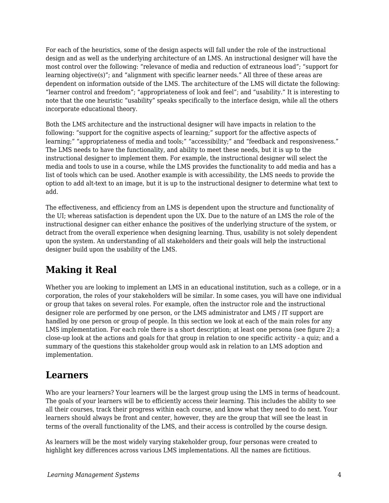For each of the heuristics, some of the design aspects will fall under the role of the instructional design and as well as the underlying architecture of an LMS. An instructional designer will have the most control over the following: "relevance of media and reduction of extraneous load"; "support for learning objective(s)"; and "alignment with specific learner needs." All three of these areas are dependent on information outside of the LMS. The architecture of the LMS will dictate the following: "learner control and freedom"; "appropriateness of look and feel"; and "usability." It is interesting to note that the one heuristic "usability" speaks specifically to the interface design, while all the others incorporate educational theory.

Both the LMS architecture and the instructional designer will have impacts in relation to the following: "support for the cognitive aspects of learning;" support for the affective aspects of learning;" "appropriateness of media and tools;" "accessibility;" and "feedback and responsiveness." The LMS needs to have the functionality, and ability to meet these needs, but it is up to the instructional designer to implement them. For example, the instructional designer will select the media and tools to use in a course, while the LMS provides the functionality to add media and has a list of tools which can be used. Another example is with accessibility, the LMS needs to provide the option to add alt-text to an image, but it is up to the instructional designer to determine what text to add.

The effectiveness, and efficiency from an LMS is dependent upon the structure and functionality of the UI; whereas satisfaction is dependent upon the UX. Due to the nature of an LMS the role of the instructional designer can either enhance the positives of the underlying structure of the system, or detract from the overall experience when designing learning. Thus, usability is not solely dependent upon the system. An understanding of all stakeholders and their goals will help the instructional designer build upon the usability of the LMS.

# **Making it Real**

Whether you are looking to implement an LMS in an educational institution, such as a college, or in a corporation, the roles of your stakeholders will be similar. In some cases, you will have one individual or group that takes on several roles. For example, often the instructor role and the instructional designer role are performed by one person, or the LMS administrator and LMS / IT support are handled by one person or group of people. In this section we look at each of the main roles for any LMS implementation. For each role there is a short description; at least one persona (see figure 2); a close-up look at the actions and goals for that group in relation to one specific activity - a quiz; and a summary of the questions this stakeholder group would ask in relation to an LMS adoption and implementation.

# **Learners**

Who are your learners? Your learners will be the largest group using the LMS in terms of headcount. The goals of your learners will be to efficiently access their learning. This includes the ability to see all their courses, track their progress within each course, and know what they need to do next. Your learners should always be front and center, however, they are the group that will see the least in terms of the overall functionality of the LMS, and their access is controlled by the course design.

As learners will be the most widely varying stakeholder group, four personas were created to highlight key differences across various LMS implementations. All the names are fictitious.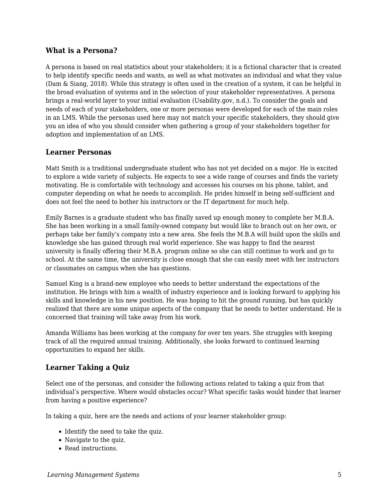#### **What is a Persona?**

A persona is based on real statistics about your stakeholders; it is a fictional character that is created to help identify specific needs and wants, as well as what motivates an individual and what they value (Dam & Siang, 2018). While this strategy is often used in the creation of a system, it can be helpful in the broad evaluation of systems and in the selection of your stakeholder representatives. A persona brings a real-world layer to your initial evaluation (Usability.gov, n.d.). To consider the goals and needs of each of your stakeholders, one or more personas were developed for each of the main roles in an LMS. While the personas used here may not match your specific stakeholders, they should give you an idea of who you should consider when gathering a group of your stakeholders together for adoption and implementation of an LMS.

#### **Learner Personas**

Matt Smith is a traditional undergraduate student who has not yet decided on a major. He is excited to explore a wide variety of subjects. He expects to see a wide range of courses and finds the variety motivating. He is comfortable with technology and accesses his courses on his phone, tablet, and computer depending on what he needs to accomplish. He prides himself in being self-sufficient and does not feel the need to bother his instructors or the IT department for much help.

Emily Barnes is a graduate student who has finally saved up enough money to complete her M.B.A. She has been working in a small family-owned company but would like to branch out on her own, or perhaps take her family's company into a new area. She feels the M.B.A will build upon the skills and knowledge she has gained through real world experience. She was happy to find the nearest university is finally offering their M.B.A. program online so she can still continue to work and go to school. At the same time, the university is close enough that she can easily meet with her instructors or classmates on campus when she has questions.

Samuel King is a brand-new employee who needs to better understand the expectations of the institution. He brings with him a wealth of industry experience and is looking forward to applying his skills and knowledge in his new position. He was hoping to hit the ground running, but has quickly realized that there are some unique aspects of the company that he needs to better understand. He is concerned that training will take away from his work.

Amanda Williams has been working at the company for over ten years. She struggles with keeping track of all the required annual training. Additionally, she looks forward to continued learning opportunities to expand her skills.

### **Learner Taking a Quiz**

Select one of the personas, and consider the following actions related to taking a quiz from that individual's perspective. Where would obstacles occur? What specific tasks would hinder that learner from having a positive experience?

In taking a quiz, here are the needs and actions of your learner stakeholder group:

- Identify the need to take the quiz.
- Navigate to the quiz.
- Read instructions.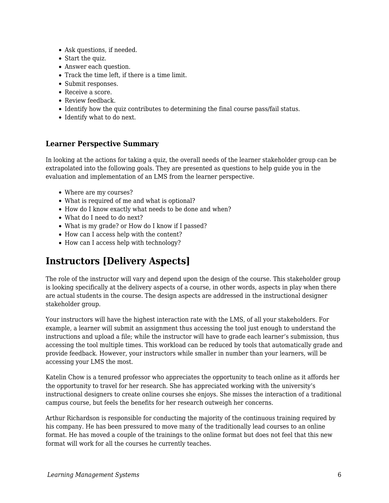- Ask questions, if needed.
- Start the quiz.
- Answer each question.
- Track the time left, if there is a time limit.
- Submit responses.
- Receive a score.
- Review feedback.
- Identify how the quiz contributes to determining the final course pass/fail status.
- Identify what to do next.

#### **Learner Perspective Summary**

In looking at the actions for taking a quiz, the overall needs of the learner stakeholder group can be extrapolated into the following goals. They are presented as questions to help guide you in the evaluation and implementation of an LMS from the learner perspective.

- Where are my courses?
- What is required of me and what is optional?
- How do I know exactly what needs to be done and when?
- What do I need to do next?
- What is my grade? or How do I know if I passed?
- How can I access help with the content?
- How can I access help with technology?

## **Instructors [Delivery Aspects]**

The role of the instructor will vary and depend upon the design of the course. This stakeholder group is looking specifically at the delivery aspects of a course, in other words, aspects in play when there are actual students in the course. The design aspects are addressed in the instructional designer stakeholder group.

Your instructors will have the highest interaction rate with the LMS, of all your stakeholders. For example, a learner will submit an assignment thus accessing the tool just enough to understand the instructions and upload a file; while the instructor will have to grade each learner's submission, thus accessing the tool multiple times. This workload can be reduced by tools that automatically grade and provide feedback. However, your instructors while smaller in number than your learners, will be accessing your LMS the most.

Katelin Chow is a tenured professor who appreciates the opportunity to teach online as it affords her the opportunity to travel for her research. She has appreciated working with the university's instructional designers to create online courses she enjoys. She misses the interaction of a traditional campus course, but feels the benefits for her research outweigh her concerns.

Arthur Richardson is responsible for conducting the majority of the continuous training required by his company. He has been pressured to move many of the traditionally lead courses to an online format. He has moved a couple of the trainings to the online format but does not feel that this new format will work for all the courses he currently teaches.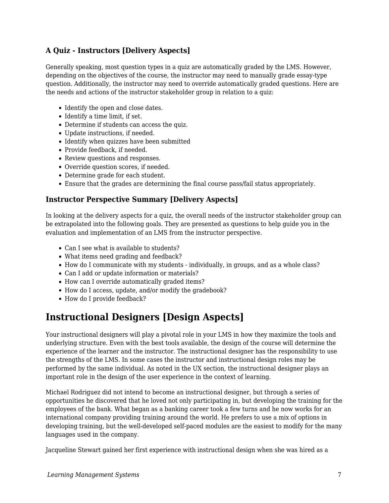### **A Quiz - Instructors [Delivery Aspects]**

Generally speaking, most question types in a quiz are automatically graded by the LMS. However, depending on the objectives of the course, the instructor may need to manually grade essay-type question. Additionally, the instructor may need to override automatically graded questions. Here are the needs and actions of the instructor stakeholder group in relation to a quiz:

- Identify the open and close dates.
- Identify a time limit, if set.
- Determine if students can access the quiz.
- Update instructions, if needed.
- Identify when quizzes have been submitted
- Provide feedback, if needed.
- Review questions and responses.
- Override question scores, if needed.
- Determine grade for each student.
- Ensure that the grades are determining the final course pass/fail status appropriately.

#### **Instructor Perspective Summary [Delivery Aspects]**

In looking at the delivery aspects for a quiz, the overall needs of the instructor stakeholder group can be extrapolated into the following goals. They are presented as questions to help guide you in the evaluation and implementation of an LMS from the instructor perspective.

- Can I see what is available to students?
- What items need grading and feedback?
- How do I communicate with my students individually, in groups, and as a whole class?
- Can I add or update information or materials?
- How can I override automatically graded items?
- How do I access, update, and/or modify the gradebook?
- How do I provide feedback?

# **Instructional Designers [Design Aspects]**

Your instructional designers will play a pivotal role in your LMS in how they maximize the tools and underlying structure. Even with the best tools available, the design of the course will determine the experience of the learner and the instructor. The instructional designer has the responsibility to use the strengths of the LMS. In some cases the instructor and instructional design roles may be performed by the same individual. As noted in the UX section, the instructional designer plays an important role in the design of the user experience in the context of learning.

Michael Rodriguez did not intend to become an instructional designer, but through a series of opportunities he discovered that he loved not only participating in, but developing the training for the employees of the bank. What began as a banking career took a few turns and he now works for an international company providing training around the world. He prefers to use a mix of options in developing training, but the well-developed self-paced modules are the easiest to modify for the many languages used in the company.

Jacqueline Stewart gained her first experience with instructional design when she was hired as a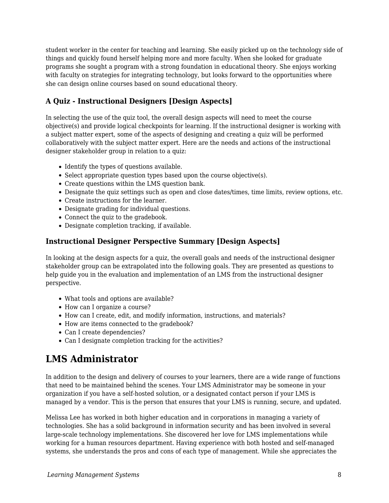student worker in the center for teaching and learning. She easily picked up on the technology side of things and quickly found herself helping more and more faculty. When she looked for graduate programs she sought a program with a strong foundation in educational theory. She enjoys working with faculty on strategies for integrating technology, but looks forward to the opportunities where she can design online courses based on sound educational theory.

### **A Quiz - Instructional Designers [Design Aspects]**

In selecting the use of the quiz tool, the overall design aspects will need to meet the course objective(s) and provide logical checkpoints for learning. If the instructional designer is working with a subject matter expert, some of the aspects of designing and creating a quiz will be performed collaboratively with the subject matter expert. Here are the needs and actions of the instructional designer stakeholder group in relation to a quiz:

- Identify the types of questions available.
- Select appropriate question types based upon the course objective(s).
- Create questions within the LMS question bank.
- Designate the quiz settings such as open and close dates/times, time limits, review options, etc.
- Create instructions for the learner.
- Designate grading for individual questions.
- Connect the quiz to the gradebook.
- Designate completion tracking, if available.

### **Instructional Designer Perspective Summary [Design Aspects]**

In looking at the design aspects for a quiz, the overall goals and needs of the instructional designer stakeholder group can be extrapolated into the following goals. They are presented as questions to help guide you in the evaluation and implementation of an LMS from the instructional designer perspective.

- What tools and options are available?
- How can I organize a course?
- How can I create, edit, and modify information, instructions, and materials?
- How are items connected to the gradebook?
- Can I create dependencies?
- Can I designate completion tracking for the activities?

# **LMS Administrator**

In addition to the design and delivery of courses to your learners, there are a wide range of functions that need to be maintained behind the scenes. Your LMS Administrator may be someone in your organization if you have a self-hosted solution, or a designated contact person if your LMS is managed by a vendor. This is the person that ensures that your LMS is running, secure, and updated.

Melissa Lee has worked in both higher education and in corporations in managing a variety of technologies. She has a solid background in information security and has been involved in several large-scale technology implementations. She discovered her love for LMS implementations while working for a human resources department. Having experience with both hosted and self-managed systems, she understands the pros and cons of each type of management. While she appreciates the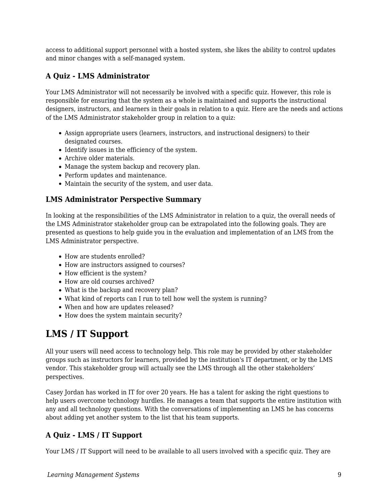access to additional support personnel with a hosted system, she likes the ability to control updates and minor changes with a self-managed system.

### **A Quiz - LMS Administrator**

Your LMS Administrator will not necessarily be involved with a specific quiz. However, this role is responsible for ensuring that the system as a whole is maintained and supports the instructional designers, instructors, and learners in their goals in relation to a quiz. Here are the needs and actions of the LMS Administrator stakeholder group in relation to a quiz:

- Assign appropriate users (learners, instructors, and instructional designers) to their designated courses.
- Identify issues in the efficiency of the system.
- Archive older materials.
- Manage the system backup and recovery plan.
- Perform updates and maintenance.
- Maintain the security of the system, and user data.

### **LMS Administrator Perspective Summary**

In looking at the responsibilities of the LMS Administrator in relation to a quiz, the overall needs of the LMS Administrator stakeholder group can be extrapolated into the following goals. They are presented as questions to help guide you in the evaluation and implementation of an LMS from the LMS Administrator perspective.

- How are students enrolled?
- How are instructors assigned to courses?
- How efficient is the system?
- How are old courses archived?
- What is the backup and recovery plan?
- What kind of reports can I run to tell how well the system is running?
- When and how are updates released?
- How does the system maintain security?

# **LMS / IT Support**

All your users will need access to technology help. This role may be provided by other stakeholder groups such as instructors for learners, provided by the institution's IT department, or by the LMS vendor. This stakeholder group will actually see the LMS through all the other stakeholders' perspectives.

Casey Jordan has worked in IT for over 20 years. He has a talent for asking the right questions to help users overcome technology hurdles. He manages a team that supports the entire institution with any and all technology questions. With the conversations of implementing an LMS he has concerns about adding yet another system to the list that his team supports.

### **A Quiz - LMS / IT Support**

Your LMS / IT Support will need to be available to all users involved with a specific quiz. They are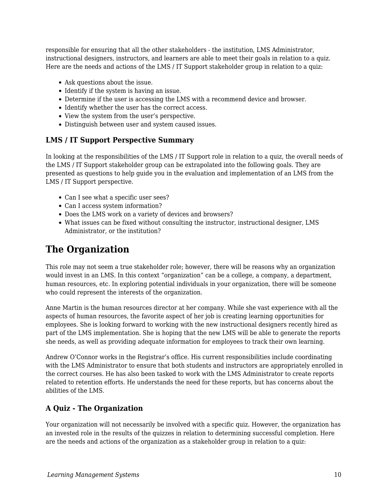responsible for ensuring that all the other stakeholders - the institution, LMS Administrator, instructional designers, instructors, and learners are able to meet their goals in relation to a quiz. Here are the needs and actions of the LMS / IT Support stakeholder group in relation to a quiz:

- Ask questions about the issue.
- Identify if the system is having an issue.
- Determine if the user is accessing the LMS with a recommend device and browser.
- Identify whether the user has the correct access.
- View the system from the user's perspective.
- Distinguish between user and system caused issues.

#### **LMS / IT Support Perspective Summary**

In looking at the responsibilities of the LMS / IT Support role in relation to a quiz, the overall needs of the LMS / IT Support stakeholder group can be extrapolated into the following goals. They are presented as questions to help guide you in the evaluation and implementation of an LMS from the LMS / IT Support perspective.

- Can I see what a specific user sees?
- Can I access system information?
- Does the LMS work on a variety of devices and browsers?
- What issues can be fixed without consulting the instructor, instructional designer, LMS Administrator, or the institution?

## **The Organization**

This role may not seem a true stakeholder role; however, there will be reasons why an organization would invest in an LMS. In this context "organization" can be a college, a company, a department, human resources, etc. In exploring potential individuals in your organization, there will be someone who could represent the interests of the organization.

Anne Martin is the human resources director at her company. While she vast experience with all the aspects of human resources, the favorite aspect of her job is creating learning opportunities for employees. She is looking forward to working with the new instructional designers recently hired as part of the LMS implementation. She is hoping that the new LMS will be able to generate the reports she needs, as well as providing adequate information for employees to track their own learning.

Andrew O'Connor works in the Registrar's office. His current responsibilities include coordinating with the LMS Administrator to ensure that both students and instructors are appropriately enrolled in the correct courses. He has also been tasked to work with the LMS Administrator to create reports related to retention efforts. He understands the need for these reports, but has concerns about the abilities of the LMS.

### **A Quiz - The Organization**

Your organization will not necessarily be involved with a specific quiz. However, the organization has an invested role in the results of the quizzes in relation to determining successful completion. Here are the needs and actions of the organization as a stakeholder group in relation to a quiz: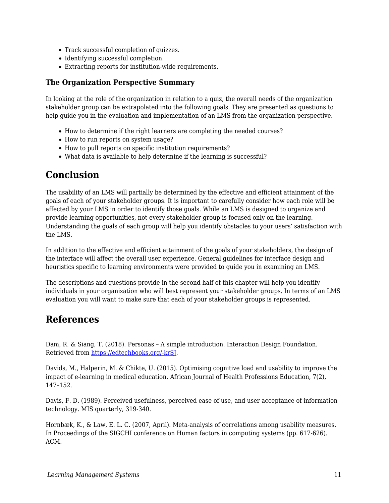- Track successful completion of quizzes.
- Identifying successful completion.
- Extracting reports for institution-wide requirements.

#### **The Organization Perspective Summary**

In looking at the role of the organization in relation to a quiz, the overall needs of the organization stakeholder group can be extrapolated into the following goals. They are presented as questions to help guide you in the evaluation and implementation of an LMS from the organization perspective.

- How to determine if the right learners are completing the needed courses?
- How to run reports on system usage?
- How to pull reports on specific institution requirements?
- What data is available to help determine if the learning is successful?

### **Conclusion**

The usability of an LMS will partially be determined by the effective and efficient attainment of the goals of each of your stakeholder groups. It is important to carefully consider how each role will be affected by your LMS in order to identify those goals. While an LMS is designed to organize and provide learning opportunities, not every stakeholder group is focused only on the learning. Understanding the goals of each group will help you identify obstacles to your users' satisfaction with the LMS.

In addition to the effective and efficient attainment of the goals of your stakeholders, the design of the interface will affect the overall user experience. General guidelines for interface design and heuristics specific to learning environments were provided to guide you in examining an LMS.

The descriptions and questions provide in the second half of this chapter will help you identify individuals in your organization who will best represent your stakeholder groups. In terms of an LMS evaluation you will want to make sure that each of your stakeholder groups is represented.

### **References**

Dam, R. & Siang, T. (2018). Personas – A simple introduction. Interaction Design Foundation. Retrieved from [https://edtechbooks.org/-krSJ.](https://www.google.com/url?q=https://www.interaction-design.org/literature/article/personas-why-and-how-you-should-use-them&sa=D&ust=1585947220159000)

Davids, M., Halperin, M. & Chikte, U. (2015). Optimising cognitive load and usability to improve the impact of e-learning in medical education. African Journal of Health Professions Education, 7(2), 147–152.

Davis, F. D. (1989). Perceived usefulness, perceived ease of use, and user acceptance of information technology. MIS quarterly, 319-340.

Hornbæk, K., & Law, E. L. C. (2007, April). Meta-analysis of correlations among usability measures. In Proceedings of the SIGCHI conference on Human factors in computing systems (pp. 617-626). ACM.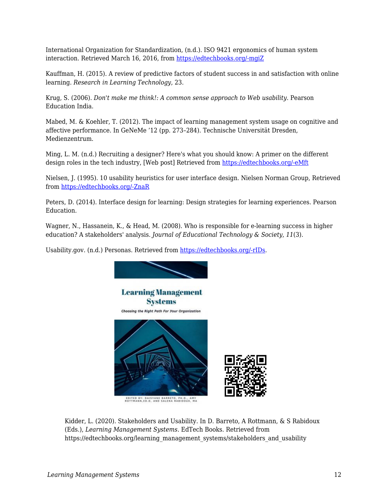International Organization for Standardization, (n.d.). ISO 9421 ergonomics of human system interaction. Retrieved March 16, 2016, from [https://edtechbooks.org/-mgiZ](https://www.iso.org/obp/ui/#!iso:std:52075:en)

Kauffman, H. (2015). A review of predictive factors of student success in and satisfaction with online learning. *Research in Learning Technology*, 23.

Krug, S. (2006). *Don't make me think!: A common sense approach to Web usability*. Pearson Education India.

Mabed, M. & Koehler, T. (2012). The impact of learning management system usage on cognitive and affective performance. In GeNeMe '12 (pp. 273–284). Technische Universität Dresden, Medienzentrum.

Ming, L. M. (n.d.) Recruiting a designer? Here's what you should know: A primer on the different design roles in the tech industry, [Web post] Retrieved from [https://edtechbooks.org/-eMft](https://www.fastcompany.com/3032719/ui-ux-who-does-what-a-designers-guide-to-the-tech-industry)

Nielsen, J. (1995). 10 usability heuristics for user interface design. Nielsen Norman Group, Retrieved from [https://edtechbooks.org/-ZnaR](https://www.nngroup.com/articles/ten-usability-heuristics/.)

Peters, D. (2014). Interface design for learning: Design strategies for learning experiences. Pearson Education.

Wagner, N., Hassanein, K., & Head, M. (2008). Who is responsible for e-learning success in higher education? A stakeholders' analysis. *Journal of Educational Technology & Society*, *11*(3).

Usability.gov. (n.d.) Personas. Retrieved from [https://edtechbooks.org/-rIDs.](https://www.google.com/url?q=https://www.usability.gov/how-to-and-tools/methods/personas.html&sa=D&ust=1585947220163000)



Kidder, L. (2020). Stakeholders and Usability. In D. Barreto, A Rottmann, & S Rabidoux (Eds.), *Learning Management Systems*. EdTech Books. Retrieved from https://edtechbooks.org/learning\_management\_systems/stakeholders\_and\_usability